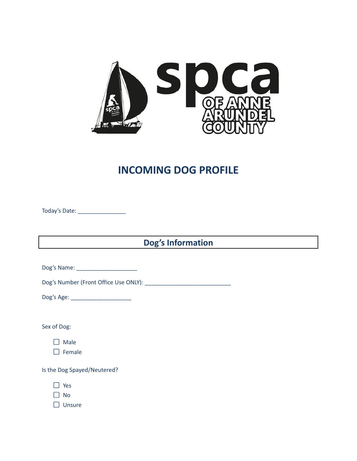

## **INCOMING DOG PROFILE**

Today's Date: \_\_\_\_\_\_\_\_\_\_\_\_\_\_\_

**Dog's Information**

Dog's Name: \_\_\_\_\_\_\_\_\_\_\_\_\_\_\_\_\_\_\_

Dog's Number (Front Office Use ONLY): \_\_\_\_\_\_\_\_\_\_\_\_\_\_\_\_\_\_\_\_\_\_\_\_\_\_\_

Dog's Age: \_\_\_\_\_\_\_\_\_\_\_\_\_\_\_\_\_\_\_

Sex of Dog:

 $\square$  Male

 $\Box$  Female

Is the Dog Spayed/Neutered?

□ Yes

 $\Box$  No

 $\Box$  Unsure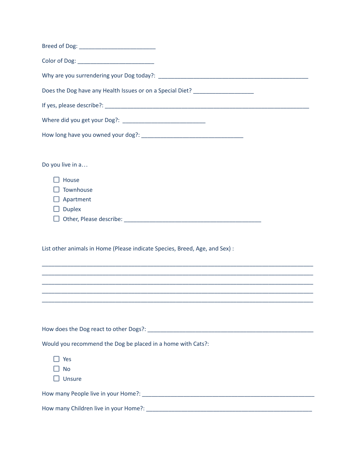| Does the Dog have any Health Issues or on a Special Diet? ______________________                                                                                                                                                                     |
|------------------------------------------------------------------------------------------------------------------------------------------------------------------------------------------------------------------------------------------------------|
|                                                                                                                                                                                                                                                      |
|                                                                                                                                                                                                                                                      |
|                                                                                                                                                                                                                                                      |
| Do you live in a                                                                                                                                                                                                                                     |
| House<br>Townhouse<br>Apartment<br><b>Duplex</b>                                                                                                                                                                                                     |
| List other animals in Home (Please indicate Species, Breed, Age, and Sex) :<br>,我们也不能在这里的时候,我们也不能在这里的时候,我们也不能会在这里的时候,我们也不能会在这里的时候,我们也不能会在这里的时候,我们也不能会在这里的时候,我们也不<br>,我们也不能在这里的时候,我们也不能在这里的时候,我们也不能会在这里的时候,我们也不能会在这里的时候,我们也不能会在这里的时候,我们也不能会在这里的时候,我们也 |
| ,我们也不能在这里的时候,我们也不能在这里的时候,我们也不能会在这里的时候,我们也不能会在这里的时候,我们也不能会在这里的时候,我们也不能会在这里的时候,我们也                                                                                                                                                                     |
|                                                                                                                                                                                                                                                      |
|                                                                                                                                                                                                                                                      |
| Would you recommend the Dog be placed in a home with Cats?:<br>Yes                                                                                                                                                                                   |
| <b>No</b><br>Unsure                                                                                                                                                                                                                                  |
|                                                                                                                                                                                                                                                      |
|                                                                                                                                                                                                                                                      |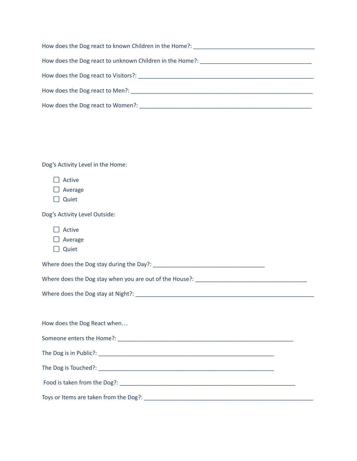| How does the Dog react to known Children in the Home?: Next and the state of the Mondon School and the Mondon                                                                                                                  |
|--------------------------------------------------------------------------------------------------------------------------------------------------------------------------------------------------------------------------------|
| How does the Dog react to unknown Children in the Home?: Network and the Month of the Dog react to unknown Children in the Home?:                                                                                              |
| How does the Dog react to Visitors?: Now the contract of the contract of the contract of the contract of the contract of the contract of the contract of the contract of the contract of the contract of the contract of the c |
| How does the Dog react to Men?: The contract of the Dog react to Men?:                                                                                                                                                         |
| How does the Dog react to Women?:                                                                                                                                                                                              |

Dog's Activity Level in the Home:

| Active  |
|---------|
| Average |

 $\Box$  Quiet

Dog's Activity Level Outside:

| <b>CTIVE</b> |
|--------------|
|              |

□ Average

 $\Box$  Quiet

Where does the Dog stay during the Day?: \_\_\_\_\_\_\_\_\_\_\_\_\_\_\_\_\_\_\_\_\_\_\_\_\_\_\_\_\_\_\_\_\_\_\_

Where does the Dog stay when you are out of the House?: \_\_\_\_\_\_\_\_\_\_\_\_\_\_\_\_\_\_\_\_\_\_\_\_\_

Where does the Dog stay at Night?: \_\_\_\_\_\_\_\_\_\_\_\_\_\_\_\_\_\_\_\_\_\_\_\_\_\_\_\_\_\_\_\_\_\_\_\_\_\_\_\_\_\_\_\_\_\_\_\_\_\_\_\_\_\_\_\_

How does the Dog React when… Someone enters the Home?: \_\_\_\_\_\_\_\_\_\_\_\_\_\_\_\_\_\_\_\_\_\_\_\_\_\_\_\_\_\_\_\_\_\_\_\_\_\_\_\_\_\_\_\_\_\_\_\_\_\_\_\_\_\_\_ The Dog is in Public?: \_\_\_\_\_\_\_\_\_\_\_\_\_\_\_\_\_\_\_\_\_\_\_\_\_\_\_\_\_\_\_\_\_\_\_\_\_\_\_\_\_\_\_\_\_\_\_\_\_\_\_\_\_\_\_ The Dog is Touched?: \_\_\_\_\_\_\_\_\_\_\_\_\_\_\_\_\_\_\_\_\_\_\_\_\_\_\_\_\_\_\_\_\_\_\_\_\_\_\_\_\_\_\_\_\_\_\_\_\_\_\_\_\_\_\_ Food is taken from the Dog?: \_\_\_\_\_\_\_\_\_\_\_\_\_\_\_\_\_\_\_\_\_\_\_\_\_\_\_\_\_\_\_\_\_\_\_\_\_\_\_\_\_\_\_\_\_\_\_\_\_\_\_\_\_\_\_ Toys or Items are taken from the Dog?: \_\_\_\_\_\_\_\_\_\_\_\_\_\_\_\_\_\_\_\_\_\_\_\_\_\_\_\_\_\_\_\_\_\_\_\_\_\_\_\_\_\_\_\_\_\_\_\_\_\_\_\_\_